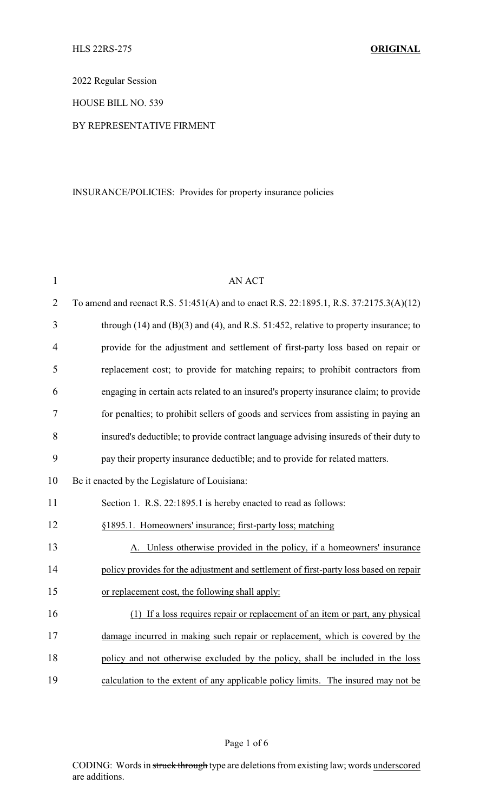2022 Regular Session

HOUSE BILL NO. 539

## BY REPRESENTATIVE FIRMENT

## INSURANCE/POLICIES: Provides for property insurance policies

| $\mathbf{1}$   | <b>AN ACT</b>                                                                               |
|----------------|---------------------------------------------------------------------------------------------|
| $\overline{2}$ | To amend and reenact R.S. 51:451(A) and to enact R.S. 22:1895.1, R.S. 37:2175.3(A)(12)      |
| 3              | through $(14)$ and $(B)(3)$ and $(4)$ , and R.S. 51:452, relative to property insurance; to |
| 4              | provide for the adjustment and settlement of first-party loss based on repair or            |
| 5              | replacement cost; to provide for matching repairs; to prohibit contractors from             |
| 6              | engaging in certain acts related to an insured's property insurance claim; to provide       |
| 7              | for penalties; to prohibit sellers of goods and services from assisting in paying an        |
| 8              | insured's deductible; to provide contract language advising insureds of their duty to       |
| 9              | pay their property insurance deductible; and to provide for related matters.                |
| 10             | Be it enacted by the Legislature of Louisiana:                                              |
| 11             | Section 1. R.S. 22:1895.1 is hereby enacted to read as follows:                             |
| 12             | §1895.1. Homeowners' insurance; first-party loss; matching                                  |
| 13             | A. Unless otherwise provided in the policy, if a homeowners' insurance                      |
| 14             | policy provides for the adjustment and settlement of first-party loss based on repair       |
| 15             | or replacement cost, the following shall apply:                                             |
| 16             | (1) If a loss requires repair or replacement of an item or part, any physical               |
| 17             | damage incurred in making such repair or replacement, which is covered by the               |
| 18             | policy and not otherwise excluded by the policy, shall be included in the loss              |
| 19             | calculation to the extent of any applicable policy limits. The insured may not be           |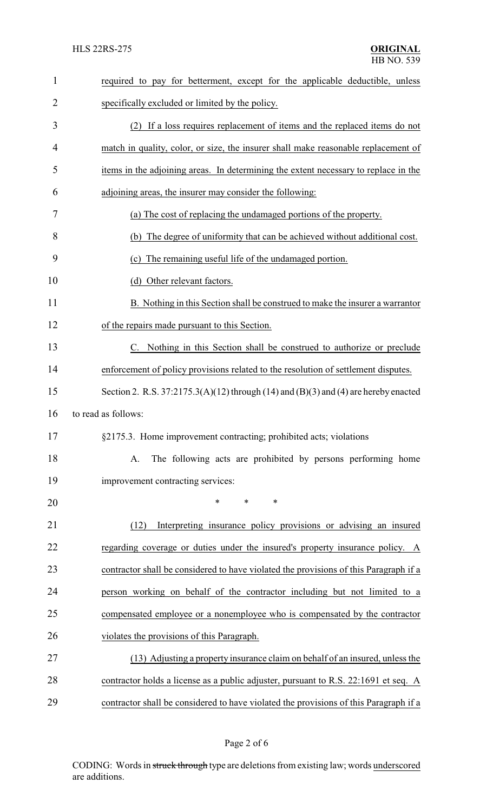| $\mathbf{1}$   | required to pay for betterment, except for the applicable deductible, unless                     |
|----------------|--------------------------------------------------------------------------------------------------|
| $\overline{2}$ | specifically excluded or limited by the policy.                                                  |
| 3              | (2) If a loss requires replacement of items and the replaced items do not                        |
| $\overline{4}$ | match in quality, color, or size, the insurer shall make reasonable replacement of               |
| 5              | items in the adjoining areas. In determining the extent necessary to replace in the              |
| 6              | adjoining areas, the insurer may consider the following:                                         |
| 7              | (a) The cost of replacing the undamaged portions of the property.                                |
| 8              | (b) The degree of uniformity that can be achieved without additional cost.                       |
| 9              | The remaining useful life of the undamaged portion.<br>(c)                                       |
| 10             | (d) Other relevant factors.                                                                      |
| 11             | B. Nothing in this Section shall be construed to make the insurer a warrantor                    |
| 12             | of the repairs made pursuant to this Section.                                                    |
| 13             | C. Nothing in this Section shall be construed to authorize or preclude                           |
| 14             | enforcement of policy provisions related to the resolution of settlement disputes.               |
| 15             | Section 2. R.S. $37:2175.3(A)(12)$ through $(14)$ and $(B)(3)$ and $(4)$ are hereby enacted      |
| 16             | to read as follows:                                                                              |
| 17             | §2175.3. Home improvement contracting; prohibited acts; violations                               |
| 18             | The following acts are prohibited by persons performing home<br>A.                               |
| 19             | improvement contracting services:                                                                |
| 20             | *<br>$\ast$<br>$\ast$                                                                            |
| 21             | Interpreting insurance policy provisions or advising an insured<br>(12)                          |
| 22             | regarding coverage or duties under the insured's property insurance policy. A                    |
| 23             | contractor shall be considered to have violated the provisions of this Paragraph if a            |
| 24             | person working on behalf of the contractor including but not limited to a                        |
| 25             | compensated employee or a nonemployee who is compensated by the contractor                       |
| 26             | violates the provisions of this Paragraph.                                                       |
| 27             | (13) Adjusting a property insurance claim on behalf of an insured, unless the                    |
| 28             | contractor holds a license as a public adjuster, pursuant to R.S. 22:1691 et seq. $\overline{A}$ |
| 29             | contractor shall be considered to have violated the provisions of this Paragraph if a            |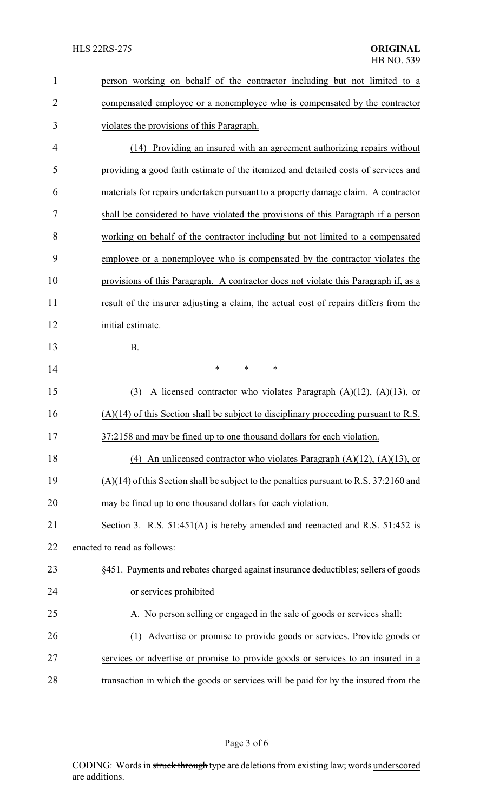| $\mathbf{1}$   | person working on behalf of the contractor including but not limited to a                |
|----------------|------------------------------------------------------------------------------------------|
| $\overline{2}$ | compensated employee or a nonemployee who is compensated by the contractor               |
| 3              | violates the provisions of this Paragraph.                                               |
| $\overline{4}$ | (14) Providing an insured with an agreement authorizing repairs without                  |
| 5              | providing a good faith estimate of the itemized and detailed costs of services and       |
| 6              | materials for repairs undertaken pursuant to a property damage claim. A contractor       |
| 7              | shall be considered to have violated the provisions of this Paragraph if a person        |
| 8              | working on behalf of the contractor including but not limited to a compensated           |
| 9              | employee or a nonemployee who is compensated by the contractor violates the              |
| 10             | provisions of this Paragraph. A contractor does not violate this Paragraph if, as a      |
| 11             | result of the insurer adjusting a claim, the actual cost of repairs differs from the     |
| 12             | initial estimate.                                                                        |
| 13             | <b>B.</b>                                                                                |
| 14             | *<br>$\ast$<br>$\ast$                                                                    |
| 15             | A licensed contractor who violates Paragraph $(A)(12)$ , $(A)(13)$ , or<br>(3)           |
| 16             | $(A)(14)$ of this Section shall be subject to disciplinary proceeding pursuant to R.S.   |
| 17             | 37:2158 and may be fined up to one thousand dollars for each violation                   |
| 18             | (4) An unlicensed contractor who violates Paragraph $(A)(12)$ , $(A)(13)$ , or           |
| 19             | $(A)(14)$ of this Section shall be subject to the penalties pursuant to R.S. 37:2160 and |
| 20             | may be fined up to one thousand dollars for each violation.                              |
| 21             | Section 3. R.S. 51:451(A) is hereby amended and reenacted and R.S. 51:452 is             |
| 22             | enacted to read as follows:                                                              |
| 23             | §451. Payments and rebates charged against insurance deductibles; sellers of goods       |
| 24             | or services prohibited                                                                   |
| 25             | A. No person selling or engaged in the sale of goods or services shall:                  |
| 26             | (1) Advertise or promise to provide goods or services. Provide goods or                  |
| 27             | services or advertise or promise to provide goods or services to an insured in a         |
| 28             | transaction in which the goods or services will be paid for by the insured from the      |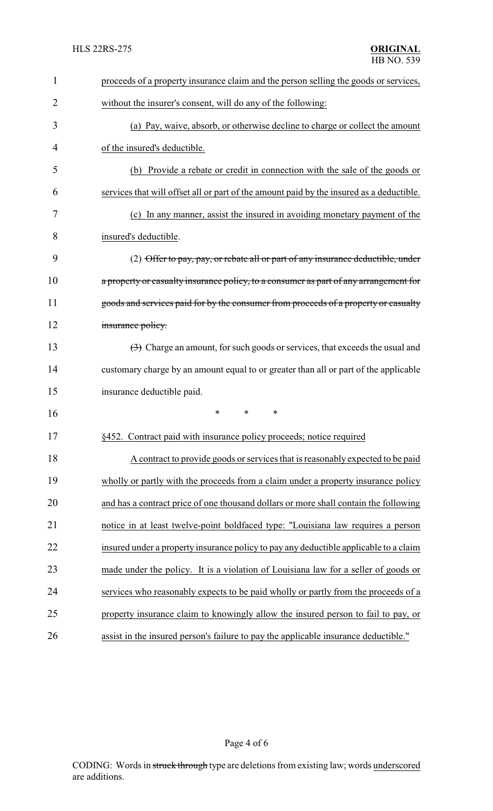| $\mathbf{1}$ | proceeds of a property insurance claim and the person selling the goods or services,     |
|--------------|------------------------------------------------------------------------------------------|
| 2            | without the insurer's consent, will do any of the following:                             |
| 3            | (a) Pay, waive, absorb, or otherwise decline to charge or collect the amount             |
| 4            | of the insured's deductible.                                                             |
| 5            | (b) Provide a rebate or credit in connection with the sale of the goods or               |
| 6            | services that will offset all or part of the amount paid by the insured as a deductible. |
| 7            | (c) In any manner, assist the insured in avoiding monetary payment of the                |
| 8            | insured's deductible.                                                                    |
| 9            | (2) Offer to pay, pay, or rebate all or part of any insurance deductible, under          |
| 10           | a property or casualty insurance policy, to a consumer as part of any arrangement for    |
| 11           | goods and services paid for by the consumer from proceeds of a property or casualty      |
| 12           | insurance policy.                                                                        |
| 13           | (3) Charge an amount, for such goods or services, that exceeds the usual and             |
| 14           | customary charge by an amount equal to or greater than all or part of the applicable     |
| 15           | insurance deductible paid.                                                               |
| 16           | *<br>*<br>∗                                                                              |
| 17           | §452. Contract paid with insurance policy proceeds; notice required                      |
| 18           | A contract to provide goods or services that is reasonably expected to be paid           |
| 19           | wholly or partly with the proceeds from a claim under a property insurance policy        |
| 20           | and has a contract price of one thousand dollars or more shall contain the following     |
| 21           | notice in at least twelve-point boldfaced type: "Louisiana law requires a person         |
| 22           | insured under a property insurance policy to pay any deductible applicable to a claim    |
| 23           | made under the policy. It is a violation of Louisiana law for a seller of goods or       |
| 24           | services who reasonably expects to be paid wholly or partly from the proceeds of a       |
| 25           | property insurance claim to knowingly allow the insured person to fail to pay, or        |
| 26           | assist in the insured person's failure to pay the applicable insurance deductible."      |

Page 4 of 6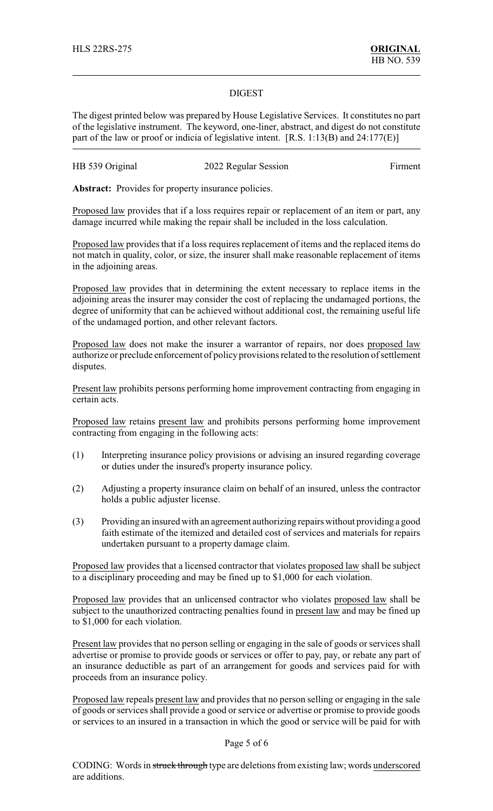## DIGEST

The digest printed below was prepared by House Legislative Services. It constitutes no part of the legislative instrument. The keyword, one-liner, abstract, and digest do not constitute part of the law or proof or indicia of legislative intent. [R.S. 1:13(B) and 24:177(E)]

| HB 539 Original<br>2022 Regular Session | Firment |
|-----------------------------------------|---------|
|-----------------------------------------|---------|

Abstract: Provides for property insurance policies.

Proposed law provides that if a loss requires repair or replacement of an item or part, any damage incurred while making the repair shall be included in the loss calculation.

Proposed law provides that if a loss requires replacement of items and the replaced items do not match in quality, color, or size, the insurer shall make reasonable replacement of items in the adjoining areas.

Proposed law provides that in determining the extent necessary to replace items in the adjoining areas the insurer may consider the cost of replacing the undamaged portions, the degree of uniformity that can be achieved without additional cost, the remaining useful life of the undamaged portion, and other relevant factors.

Proposed law does not make the insurer a warrantor of repairs, nor does proposed law authorize or preclude enforcement of policy provisions related to the resolution of settlement disputes.

Present law prohibits persons performing home improvement contracting from engaging in certain acts.

Proposed law retains present law and prohibits persons performing home improvement contracting from engaging in the following acts:

- (1) Interpreting insurance policy provisions or advising an insured regarding coverage or duties under the insured's property insurance policy.
- (2) Adjusting a property insurance claim on behalf of an insured, unless the contractor holds a public adjuster license.
- (3) Providing an insured with an agreement authorizing repairs without providing a good faith estimate of the itemized and detailed cost of services and materials for repairs undertaken pursuant to a property damage claim.

Proposed law provides that a licensed contractor that violates proposed law shall be subject to a disciplinary proceeding and may be fined up to \$1,000 for each violation.

Proposed law provides that an unlicensed contractor who violates proposed law shall be subject to the unauthorized contracting penalties found in present law and may be fined up to \$1,000 for each violation.

Present law provides that no person selling or engaging in the sale of goods or services shall advertise or promise to provide goods or services or offer to pay, pay, or rebate any part of an insurance deductible as part of an arrangement for goods and services paid for with proceeds from an insurance policy.

Proposed law repeals present law and provides that no person selling or engaging in the sale of goods orservices shall provide a good or service or advertise or promise to provide goods or services to an insured in a transaction in which the good or service will be paid for with

## Page 5 of 6